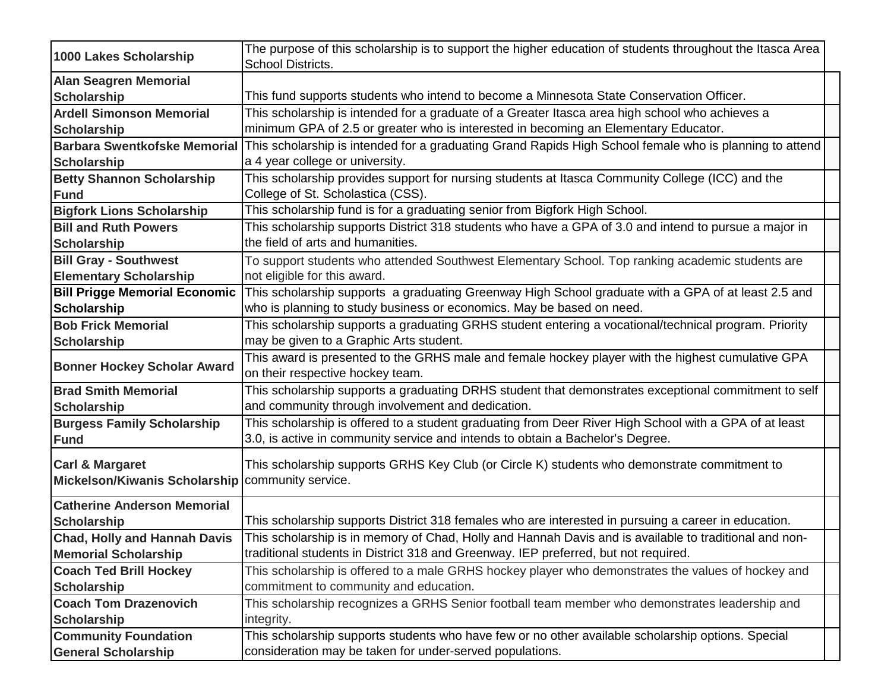| 1000 Lakes Scholarship               | The purpose of this scholarship is to support the higher education of students throughout the Itasca Area                             |
|--------------------------------------|---------------------------------------------------------------------------------------------------------------------------------------|
|                                      | School Districts.                                                                                                                     |
| <b>Alan Seagren Memorial</b>         |                                                                                                                                       |
| <b>Scholarship</b>                   | This fund supports students who intend to become a Minnesota State Conservation Officer.                                              |
| <b>Ardell Simonson Memorial</b>      | This scholarship is intended for a graduate of a Greater Itasca area high school who achieves a                                       |
| <b>Scholarship</b>                   | minimum GPA of 2.5 or greater who is interested in becoming an Elementary Educator.                                                   |
| <b>Barbara Swentkofske Memorial</b>  | This scholarship is intended for a graduating Grand Rapids High School female who is planning to attend                               |
| <b>Scholarship</b>                   | a 4 year college or university.                                                                                                       |
| <b>Betty Shannon Scholarship</b>     | This scholarship provides support for nursing students at Itasca Community College (ICC) and the                                      |
| <b>Fund</b>                          | College of St. Scholastica (CSS).                                                                                                     |
| <b>Bigfork Lions Scholarship</b>     | This scholarship fund is for a graduating senior from Bigfork High School.                                                            |
| <b>Bill and Ruth Powers</b>          | This scholarship supports District 318 students who have a GPA of 3.0 and intend to pursue a major in                                 |
| <b>Scholarship</b>                   | the field of arts and humanities.                                                                                                     |
| <b>Bill Gray - Southwest</b>         | To support students who attended Southwest Elementary School. Top ranking academic students are                                       |
| <b>Elementary Scholarship</b>        | not eligible for this award.                                                                                                          |
| <b>Bill Prigge Memorial Economic</b> | This scholarship supports a graduating Greenway High School graduate with a GPA of at least 2.5 and                                   |
| <b>Scholarship</b>                   | who is planning to study business or economics. May be based on need.                                                                 |
| <b>Bob Frick Memorial</b>            | This scholarship supports a graduating GRHS student entering a vocational/technical program. Priority                                 |
| <b>Scholarship</b>                   | may be given to a Graphic Arts student.                                                                                               |
| <b>Bonner Hockey Scholar Award</b>   | This award is presented to the GRHS male and female hockey player with the highest cumulative GPA<br>on their respective hockey team. |
| <b>Brad Smith Memorial</b>           | This scholarship supports a graduating DRHS student that demonstrates exceptional commitment to self                                  |
| <b>Scholarship</b>                   | and community through involvement and dedication.                                                                                     |
| <b>Burgess Family Scholarship</b>    | This scholarship is offered to a student graduating from Deer River High School with a GPA of at least                                |
| <b>Fund</b>                          | 3.0, is active in community service and intends to obtain a Bachelor's Degree.                                                        |
| <b>Carl &amp; Margaret</b>           |                                                                                                                                       |
| <b>Mickelson/Kiwanis Scholarship</b> | This scholarship supports GRHS Key Club (or Circle K) students who demonstrate commitment to<br>community service.                    |
|                                      |                                                                                                                                       |
| <b>Catherine Anderson Memorial</b>   |                                                                                                                                       |
| <b>Scholarship</b>                   | This scholarship supports District 318 females who are interested in pursuing a career in education.                                  |
| <b>Chad, Holly and Hannah Davis</b>  | This scholarship is in memory of Chad, Holly and Hannah Davis and is available to traditional and non-                                |
| <b>Memorial Scholarship</b>          | traditional students in District 318 and Greenway. IEP preferred, but not required.                                                   |
| <b>Coach Ted Brill Hockey</b>        | This scholarship is offered to a male GRHS hockey player who demonstrates the values of hockey and                                    |
| <b>Scholarship</b>                   | commitment to community and education.                                                                                                |
| <b>Coach Tom Drazenovich</b>         | This scholarship recognizes a GRHS Senior football team member who demonstrates leadership and                                        |
| <b>Scholarship</b>                   | integrity.                                                                                                                            |
| <b>Community Foundation</b>          | This scholarship supports students who have few or no other available scholarship options. Special                                    |
| <b>General Scholarship</b>           | consideration may be taken for under-served populations.                                                                              |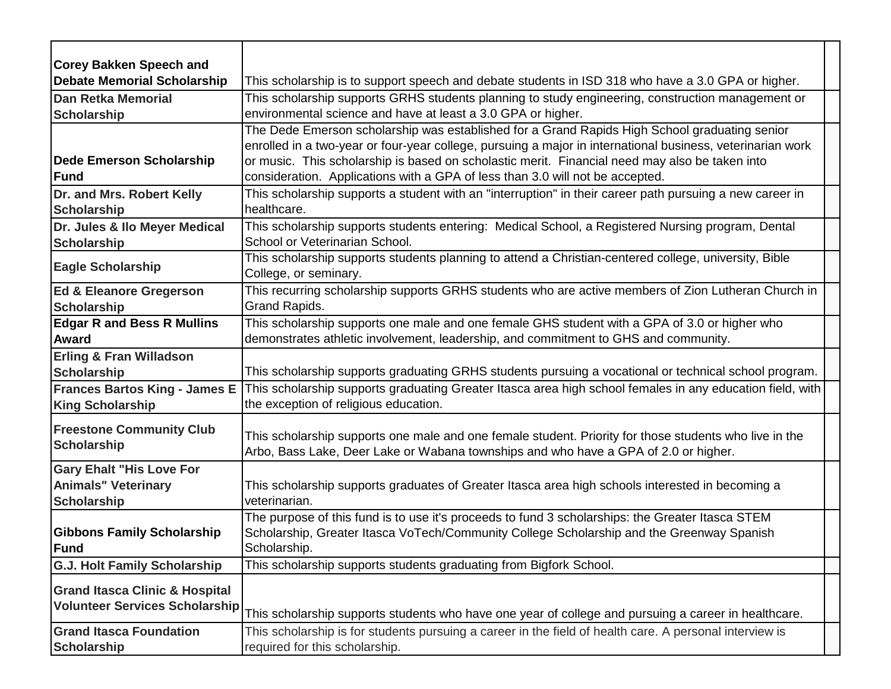| <b>Corey Bakken Speech and</b>            |                                                                                                            |
|-------------------------------------------|------------------------------------------------------------------------------------------------------------|
| <b>Debate Memorial Scholarship</b>        | This scholarship is to support speech and debate students in ISD 318 who have a 3.0 GPA or higher.         |
| <b>Dan Retka Memorial</b>                 | This scholarship supports GRHS students planning to study engineering, construction management or          |
| <b>Scholarship</b>                        | environmental science and have at least a 3.0 GPA or higher.                                               |
|                                           | The Dede Emerson scholarship was established for a Grand Rapids High School graduating senior              |
|                                           | enrolled in a two-year or four-year college, pursuing a major in international business, veterinarian work |
| <b>Dede Emerson Scholarship</b>           | or music. This scholarship is based on scholastic merit. Financial need may also be taken into             |
| Fund                                      | consideration. Applications with a GPA of less than 3.0 will not be accepted.                              |
| Dr. and Mrs. Robert Kelly                 | This scholarship supports a student with an "interruption" in their career path pursuing a new career in   |
| <b>Scholarship</b>                        | healthcare.                                                                                                |
| Dr. Jules & Ilo Meyer Medical             | This scholarship supports students entering: Medical School, a Registered Nursing program, Dental          |
| <b>Scholarship</b>                        | School or Veterinarian School.                                                                             |
|                                           | This scholarship supports students planning to attend a Christian-centered college, university, Bible      |
| <b>Eagle Scholarship</b>                  | College, or seminary.                                                                                      |
| <b>Ed &amp; Eleanore Gregerson</b>        | This recurring scholarship supports GRHS students who are active members of Zion Lutheran Church in        |
| <b>Scholarship</b>                        | Grand Rapids.                                                                                              |
| <b>Edgar R and Bess R Mullins</b>         | This scholarship supports one male and one female GHS student with a GPA of 3.0 or higher who              |
| Award                                     | demonstrates athletic involvement, leadership, and commitment to GHS and community.                        |
| <b>Erling &amp; Fran Willadson</b>        |                                                                                                            |
| <b>Scholarship</b>                        | This scholarship supports graduating GRHS students pursuing a vocational or technical school program.      |
| <b>Frances Bartos King - James E</b>      | This scholarship supports graduating Greater Itasca area high school females in any education field, with  |
| <b>King Scholarship</b>                   | the exception of religious education.                                                                      |
|                                           |                                                                                                            |
| <b>Freestone Community Club</b>           | This scholarship supports one male and one female student. Priority for those students who live in the     |
| <b>Scholarship</b>                        | Arbo, Bass Lake, Deer Lake or Wabana townships and who have a GPA of 2.0 or higher.                        |
| <b>Gary Ehalt "His Love For</b>           |                                                                                                            |
| <b>Animals" Veterinary</b>                | This scholarship supports graduates of Greater Itasca area high schools interested in becoming a           |
| <b>Scholarship</b>                        | veterinarian.                                                                                              |
|                                           | The purpose of this fund is to use it's proceeds to fund 3 scholarships: the Greater Itasca STEM           |
| <b>Gibbons Family Scholarship</b>         | Scholarship, Greater Itasca VoTech/Community College Scholarship and the Greenway Spanish                  |
| Fund                                      | Scholarship.                                                                                               |
| <b>G.J. Holt Family Scholarship</b>       | This scholarship supports students graduating from Bigfork School.                                         |
| <b>Grand Itasca Clinic &amp; Hospital</b> |                                                                                                            |
| <b>Volunteer Services Scholarship</b>     |                                                                                                            |
|                                           | This scholarship supports students who have one year of college and pursuing a career in healthcare.       |
| <b>Grand Itasca Foundation</b>            | This scholarship is for students pursuing a career in the field of health care. A personal interview is    |
| <b>Scholarship</b>                        | required for this scholarship.                                                                             |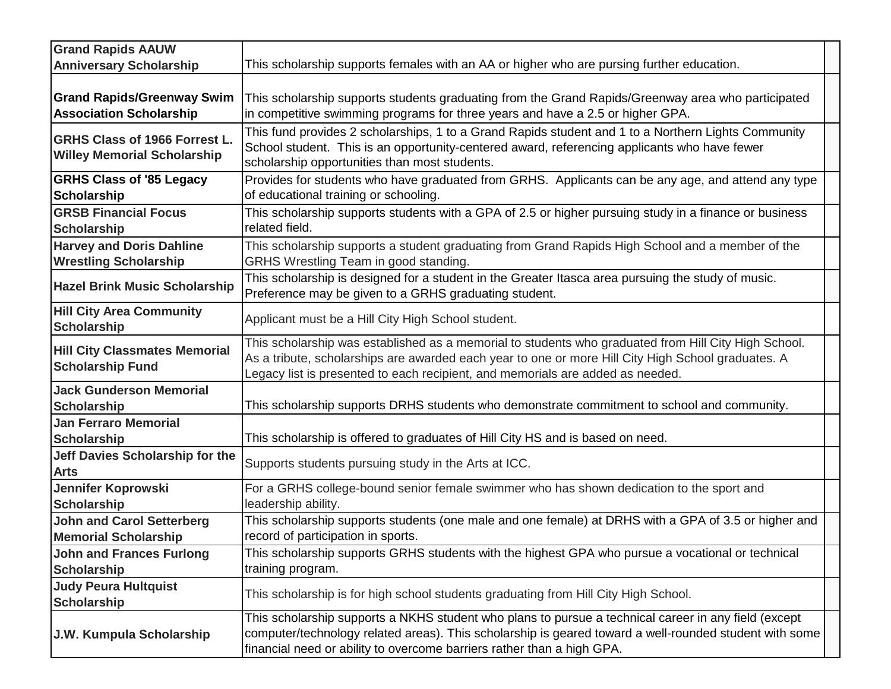| <b>Grand Rapids AAUW</b>                                                   |                                                                                                                                                                                                                                                                                              |
|----------------------------------------------------------------------------|----------------------------------------------------------------------------------------------------------------------------------------------------------------------------------------------------------------------------------------------------------------------------------------------|
| <b>Anniversary Scholarship</b>                                             | This scholarship supports females with an AA or higher who are pursing further education.                                                                                                                                                                                                    |
| <b>Grand Rapids/Greenway Swim</b><br><b>Association Scholarship</b>        | This scholarship supports students graduating from the Grand Rapids/Greenway area who participated<br>in competitive swimming programs for three years and have a 2.5 or higher GPA.                                                                                                         |
| <b>GRHS Class of 1966 Forrest L.</b><br><b>Willey Memorial Scholarship</b> | This fund provides 2 scholarships, 1 to a Grand Rapids student and 1 to a Northern Lights Community<br>School student. This is an opportunity-centered award, referencing applicants who have fewer<br>scholarship opportunities than most students.                                         |
| <b>GRHS Class of '85 Legacy</b><br><b>Scholarship</b>                      | Provides for students who have graduated from GRHS. Applicants can be any age, and attend any type<br>of educational training or schooling.                                                                                                                                                  |
| <b>GRSB Financial Focus</b><br><b>Scholarship</b>                          | This scholarship supports students with a GPA of 2.5 or higher pursuing study in a finance or business<br>related field.                                                                                                                                                                     |
| <b>Harvey and Doris Dahline</b><br><b>Wrestling Scholarship</b>            | This scholarship supports a student graduating from Grand Rapids High School and a member of the<br>GRHS Wrestling Team in good standing.                                                                                                                                                    |
| <b>Hazel Brink Music Scholarship</b>                                       | This scholarship is designed for a student in the Greater Itasca area pursuing the study of music.<br>Preference may be given to a GRHS graduating student.                                                                                                                                  |
| <b>Hill City Area Community</b><br><b>Scholarship</b>                      | Applicant must be a Hill City High School student.                                                                                                                                                                                                                                           |
| <b>Hill City Classmates Memorial</b><br><b>Scholarship Fund</b>            | This scholarship was established as a memorial to students who graduated from Hill City High School.<br>As a tribute, scholarships are awarded each year to one or more Hill City High School graduates. A<br>Legacy list is presented to each recipient, and memorials are added as needed. |
| <b>Jack Gunderson Memorial</b><br><b>Scholarship</b>                       | This scholarship supports DRHS students who demonstrate commitment to school and community.                                                                                                                                                                                                  |
| <b>Jan Ferraro Memorial</b><br><b>Scholarship</b>                          | This scholarship is offered to graduates of Hill City HS and is based on need.                                                                                                                                                                                                               |
| Jeff Davies Scholarship for the<br><b>Arts</b>                             | Supports students pursuing study in the Arts at ICC.                                                                                                                                                                                                                                         |
| Jennifer Koprowski<br><b>Scholarship</b>                                   | For a GRHS college-bound senior female swimmer who has shown dedication to the sport and<br>leadership ability.                                                                                                                                                                              |
| <b>John and Carol Setterberg</b><br><b>Memorial Scholarship</b>            | This scholarship supports students (one male and one female) at DRHS with a GPA of 3.5 or higher and<br>record of participation in sports.                                                                                                                                                   |
| <b>John and Frances Furlong</b><br><b>Scholarship</b>                      | This scholarship supports GRHS students with the highest GPA who pursue a vocational or technical<br>training program.                                                                                                                                                                       |
| <b>Judy Peura Hultquist</b><br><b>Scholarship</b>                          | This scholarship is for high school students graduating from Hill City High School.                                                                                                                                                                                                          |
| J.W. Kumpula Scholarship                                                   | This scholarship supports a NKHS student who plans to pursue a technical career in any field (except<br>computer/technology related areas). This scholarship is geared toward a well-rounded student with some<br>financial need or ability to overcome barriers rather than a high GPA.     |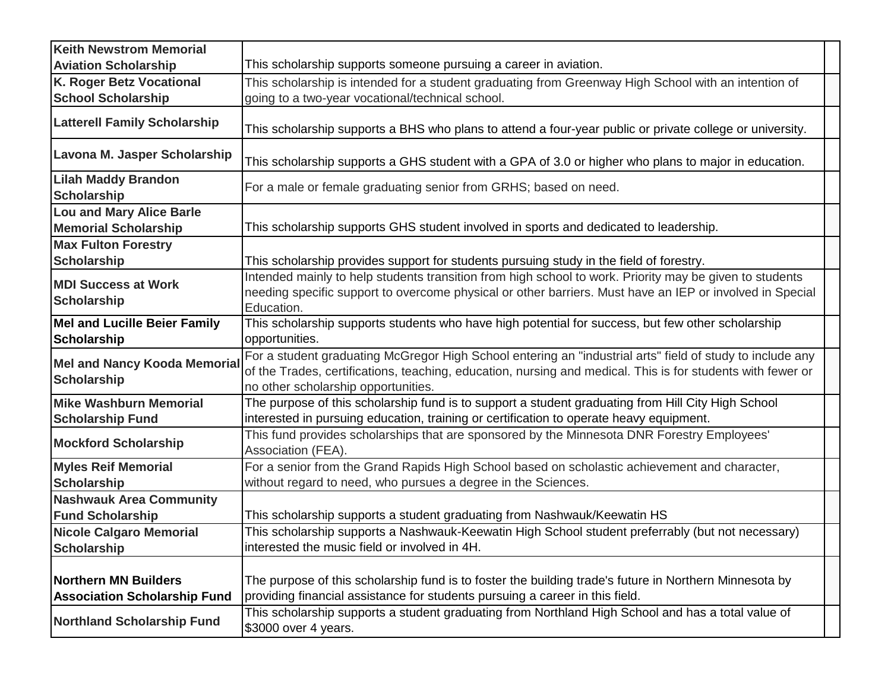| <b>Keith Newstrom Memorial</b>                                     |                                                                                                                                                                                                                                                                 |
|--------------------------------------------------------------------|-----------------------------------------------------------------------------------------------------------------------------------------------------------------------------------------------------------------------------------------------------------------|
| <b>Aviation Scholarship</b>                                        | This scholarship supports someone pursuing a career in aviation.                                                                                                                                                                                                |
| K. Roger Betz Vocational                                           | This scholarship is intended for a student graduating from Greenway High School with an intention of                                                                                                                                                            |
| <b>School Scholarship</b>                                          | going to a two-year vocational/technical school.                                                                                                                                                                                                                |
| <b>Latterell Family Scholarship</b>                                | This scholarship supports a BHS who plans to attend a four-year public or private college or university.                                                                                                                                                        |
| Lavona M. Jasper Scholarship                                       | This scholarship supports a GHS student with a GPA of 3.0 or higher who plans to major in education.                                                                                                                                                            |
| <b>Lilah Maddy Brandon</b><br><b>Scholarship</b>                   | For a male or female graduating senior from GRHS; based on need.                                                                                                                                                                                                |
| <b>Lou and Mary Alice Barle</b>                                    |                                                                                                                                                                                                                                                                 |
| <b>Memorial Scholarship</b>                                        | This scholarship supports GHS student involved in sports and dedicated to leadership.                                                                                                                                                                           |
| <b>Max Fulton Forestry</b>                                         |                                                                                                                                                                                                                                                                 |
| <b>Scholarship</b>                                                 | This scholarship provides support for students pursuing study in the field of forestry.                                                                                                                                                                         |
| <b>MDI Success at Work</b><br><b>Scholarship</b>                   | Intended mainly to help students transition from high school to work. Priority may be given to students<br>needing specific support to overcome physical or other barriers. Must have an IEP or involved in Special<br>Education.                               |
| <b>Mel and Lucille Beier Family</b><br><b>Scholarship</b>          | This scholarship supports students who have high potential for success, but few other scholarship<br>opportunities.                                                                                                                                             |
| <b>Mel and Nancy Kooda Memorial</b><br><b>Scholarship</b>          | For a student graduating McGregor High School entering an "industrial arts" field of study to include any<br>of the Trades, certifications, teaching, education, nursing and medical. This is for students with fewer or<br>no other scholarship opportunities. |
| <b>Mike Washburn Memorial</b><br><b>Scholarship Fund</b>           | The purpose of this scholarship fund is to support a student graduating from Hill City High School<br>interested in pursuing education, training or certification to operate heavy equipment.                                                                   |
| <b>Mockford Scholarship</b>                                        | This fund provides scholarships that are sponsored by the Minnesota DNR Forestry Employees'<br>Association (FEA).                                                                                                                                               |
| <b>Myles Reif Memorial</b><br><b>Scholarship</b>                   | For a senior from the Grand Rapids High School based on scholastic achievement and character,<br>without regard to need, who pursues a degree in the Sciences.                                                                                                  |
| <b>Nashwauk Area Community</b><br><b>Fund Scholarship</b>          | This scholarship supports a student graduating from Nashwauk/Keewatin HS                                                                                                                                                                                        |
| <b>Nicole Calgaro Memorial</b>                                     | This scholarship supports a Nashwauk-Keewatin High School student preferrably (but not necessary)                                                                                                                                                               |
| <b>Scholarship</b>                                                 | interested the music field or involved in 4H.                                                                                                                                                                                                                   |
| <b>Northern MN Builders</b><br><b>Association Scholarship Fund</b> | The purpose of this scholarship fund is to foster the building trade's future in Northern Minnesota by<br>providing financial assistance for students pursuing a career in this field.                                                                          |
| <b>Northland Scholarship Fund</b>                                  | This scholarship supports a student graduating from Northland High School and has a total value of<br>\$3000 over 4 years.                                                                                                                                      |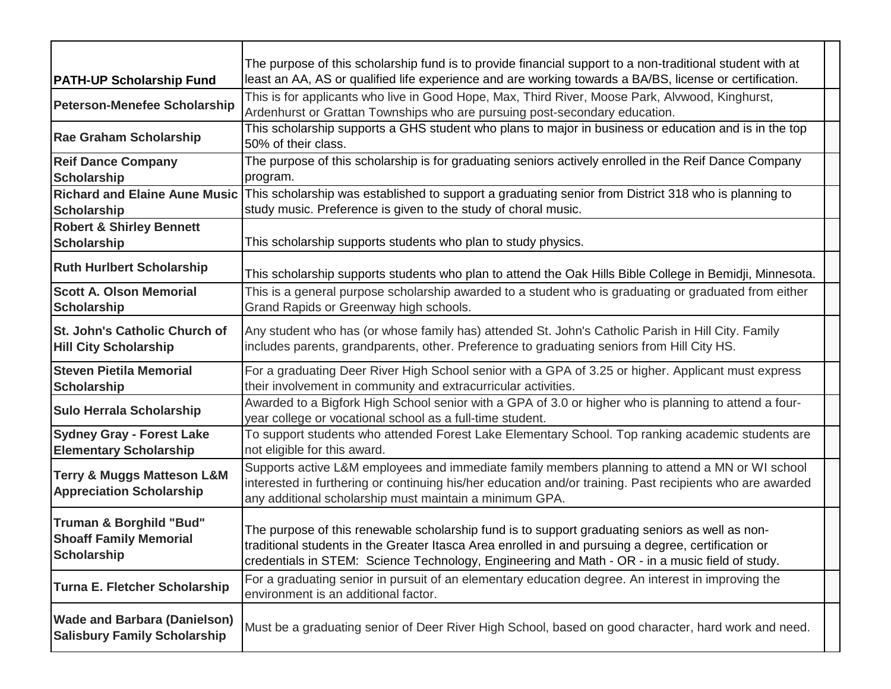|                                                                                    | The purpose of this scholarship fund is to provide financial support to a non-traditional student with at                                                                                                                                                                                                 |
|------------------------------------------------------------------------------------|-----------------------------------------------------------------------------------------------------------------------------------------------------------------------------------------------------------------------------------------------------------------------------------------------------------|
| <b>PATH-UP Scholarship Fund</b>                                                    | least an AA, AS or qualified life experience and are working towards a BA/BS, license or certification.                                                                                                                                                                                                   |
| <b>Peterson-Menefee Scholarship</b>                                                | This is for applicants who live in Good Hope, Max, Third River, Moose Park, Alvwood, Kinghurst,<br>Ardenhurst or Grattan Townships who are pursuing post-secondary education.                                                                                                                             |
| <b>Rae Graham Scholarship</b>                                                      | This scholarship supports a GHS student who plans to major in business or education and is in the top<br>50% of their class.                                                                                                                                                                              |
| <b>Reif Dance Company</b>                                                          | The purpose of this scholarship is for graduating seniors actively enrolled in the Reif Dance Company                                                                                                                                                                                                     |
| <b>Scholarship</b>                                                                 | program.                                                                                                                                                                                                                                                                                                  |
| <b>Richard and Elaine Aune Music</b>                                               | This scholarship was established to support a graduating senior from District 318 who is planning to                                                                                                                                                                                                      |
| Scholarship                                                                        | study music. Preference is given to the study of choral music.                                                                                                                                                                                                                                            |
| <b>Robert &amp; Shirley Bennett</b>                                                |                                                                                                                                                                                                                                                                                                           |
| <b>Scholarship</b>                                                                 | This scholarship supports students who plan to study physics.                                                                                                                                                                                                                                             |
| <b>Ruth Hurlbert Scholarship</b>                                                   | This scholarship supports students who plan to attend the Oak Hills Bible College in Bemidji, Minnesota.                                                                                                                                                                                                  |
| <b>Scott A. Olson Memorial</b><br><b>Scholarship</b>                               | This is a general purpose scholarship awarded to a student who is graduating or graduated from either<br>Grand Rapids or Greenway high schools.                                                                                                                                                           |
| <b>St. John's Catholic Church of</b><br><b>Hill City Scholarship</b>               | Any student who has (or whose family has) attended St. John's Catholic Parish in Hill City. Family<br>includes parents, grandparents, other. Preference to graduating seniors from Hill City HS.                                                                                                          |
| <b>Steven Pietila Memorial</b><br><b>Scholarship</b>                               | For a graduating Deer River High School senior with a GPA of 3.25 or higher. Applicant must express<br>their involvement in community and extracurricular activities.                                                                                                                                     |
| <b>Sulo Herrala Scholarship</b>                                                    | Awarded to a Bigfork High School senior with a GPA of 3.0 or higher who is planning to attend a four-<br>year college or vocational school as a full-time student.                                                                                                                                        |
| <b>Sydney Gray - Forest Lake</b><br><b>Elementary Scholarship</b>                  | To support students who attended Forest Lake Elementary School. Top ranking academic students are<br>not eligible for this award.                                                                                                                                                                         |
| <b>Terry &amp; Muggs Matteson L&amp;M</b><br><b>Appreciation Scholarship</b>       | Supports active L&M employees and immediate family members planning to attend a MN or WI school<br>interested in furthering or continuing his/her education and/or training. Past recipients who are awarded<br>any additional scholarship must maintain a minimum GPA.                                   |
| <b>Truman &amp; Borghild "Bud"</b><br><b>Shoaff Family Memorial</b><br>Scholarship | The purpose of this renewable scholarship fund is to support graduating seniors as well as non-<br>traditional students in the Greater Itasca Area enrolled in and pursuing a degree, certification or<br>credentials in STEM: Science Technology, Engineering and Math - OR - in a music field of study. |
| <b>Turna E. Fletcher Scholarship</b>                                               | For a graduating senior in pursuit of an elementary education degree. An interest in improving the<br>environment is an additional factor.                                                                                                                                                                |
| <b>Wade and Barbara (Danielson)</b><br><b>Salisbury Family Scholarship</b>         | Must be a graduating senior of Deer River High School, based on good character, hard work and need.                                                                                                                                                                                                       |